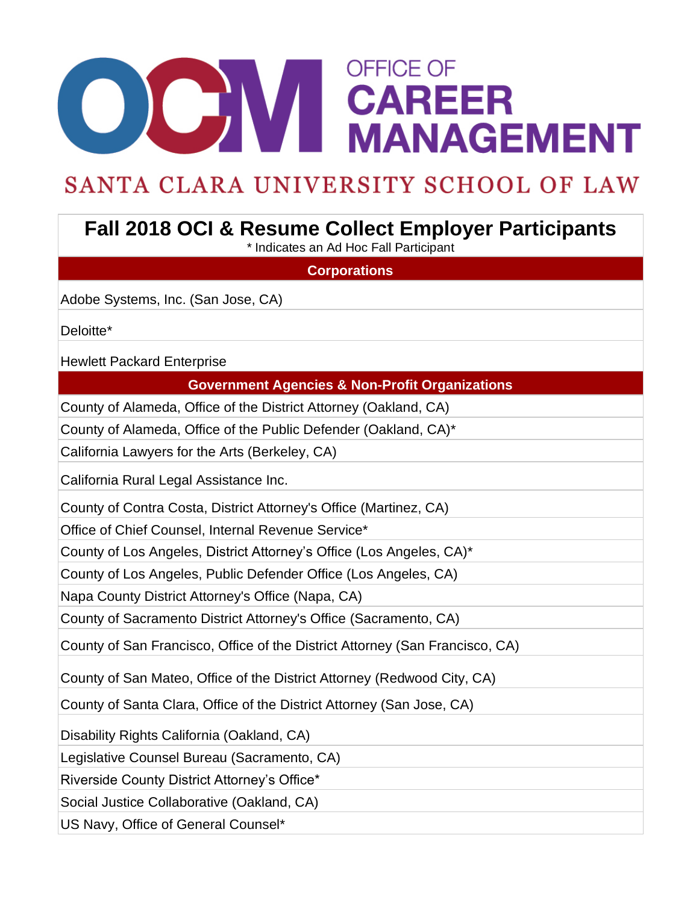# **ODEN CAREER**<br>
MANAGEMENT **OFFICE OF**

## SANTA CLARA UNIVERSITY SCHOOL OF LAW

### **Fall 2018 OCI & Resume Collect Employer Participants**

\* Indicates an Ad Hoc Fall Participant

#### **Corporations**

Adobe Systems, Inc. (San Jose, CA)

Deloitte\*

Hewlett Packard Enterprise

#### **Government Agencies & Non-Profit Organizations**

County of Alameda, Office of the District Attorney (Oakland, CA)

County of Alameda, Office of the Public Defender (Oakland, CA)\*

California Lawyers for the Arts (Berkeley, CA)

California Rural Legal Assistance Inc.

County of Contra Costa, District Attorney's Office (Martinez, CA)

Office of Chief Counsel, Internal Revenue Service\*

County of Los Angeles, District Attorney's Office (Los Angeles, CA)\*

County of Los Angeles, Public Defender Office (Los Angeles, CA)

Napa County District Attorney's Office (Napa, CA)

County of Sacramento District Attorney's Office (Sacramento, CA)

County of San Francisco, Office of the District Attorney (San Francisco, CA)

County of San Mateo, Office of the District Attorney (Redwood City, CA)

County of Santa Clara, Office of the District Attorney (San Jose, CA)

Disability Rights California (Oakland, CA)

Legislative Counsel Bureau (Sacramento, CA)

Riverside County District Attorney's Office\*

Social Justice Collaborative (Oakland, CA)

US Navy, Office of General Counsel\*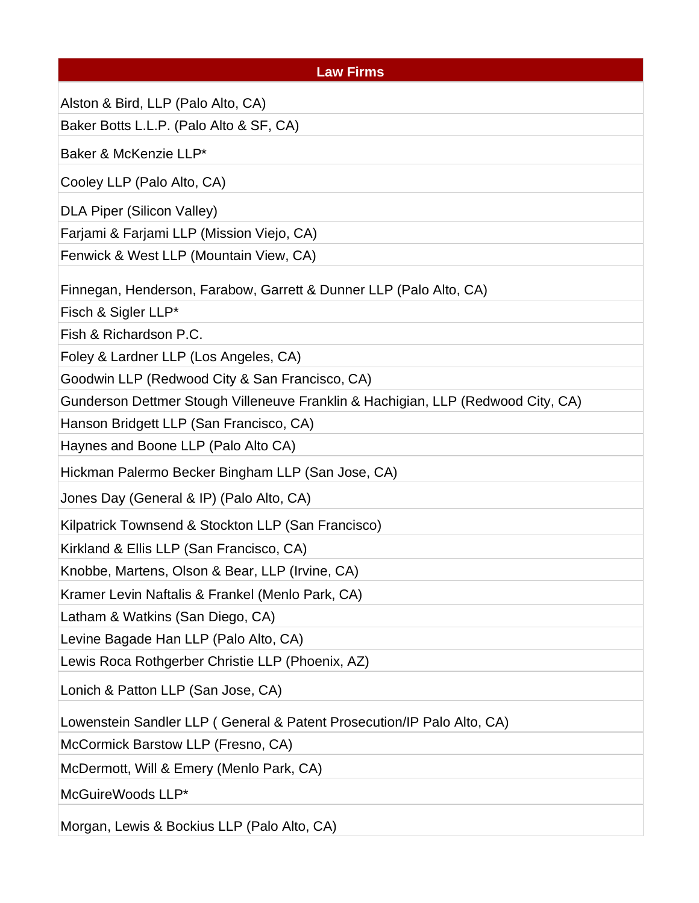#### **Law Firms**

Alston & Bird, LLP (Palo Alto, CA)

Baker Botts L.L.P. (Palo Alto & SF, CA)

Baker & McKenzie LLP\*

Cooley LLP (Palo Alto, CA)

DLA Piper (Silicon Valley)

Farjami & Farjami LLP (Mission Viejo, CA)

Fenwick & West LLP (Mountain View, CA)

Finnegan, Henderson, Farabow, Garrett & Dunner LLP (Palo Alto, CA)

Fisch & Sigler LLP\*

Fish & Richardson P.C.

Foley & Lardner LLP (Los Angeles, CA)

Goodwin LLP (Redwood City & San Francisco, CA)

Gunderson Dettmer Stough Villeneuve Franklin & Hachigian, LLP (Redwood City, CA)

Hanson Bridgett LLP (San Francisco, CA)

Haynes and Boone LLP (Palo Alto CA)

Hickman Palermo Becker Bingham LLP (San Jose, CA)

Jones Day (General & IP) (Palo Alto, CA)

Kilpatrick Townsend & Stockton LLP (San Francisco)

Kirkland & Ellis LLP (San Francisco, CA)

Knobbe, Martens, Olson & Bear, LLP (Irvine, CA)

Kramer Levin Naftalis & Frankel (Menlo Park, CA)

Latham & Watkins (San Diego, CA)

Levine Bagade Han LLP (Palo Alto, CA)

Lewis Roca Rothgerber Christie LLP (Phoenix, AZ)

Lonich & Patton LLP (San Jose, CA)

Lowenstein Sandler LLP ( General & Patent Prosecution/IP Palo Alto, CA)

McCormick Barstow LLP (Fresno, CA)

McDermott, Will & Emery (Menlo Park, CA)

McGuireWoods LLP\*

Morgan, Lewis & Bockius LLP (Palo Alto, CA)